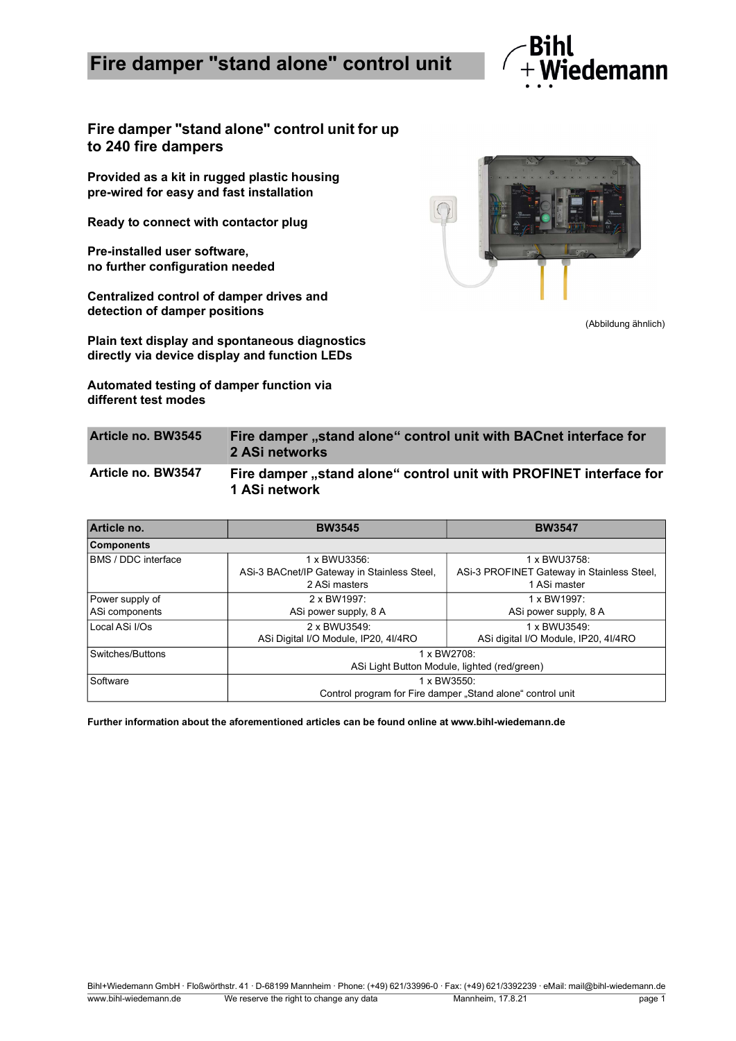## **Fire damper "stand alone" control unit**



**Fire damper "stand alone" control unit for up to 240 fire dampers**

**Provided as a kit in rugged plastic housing pre-wired for easy and fast installation**

**Ready to connect with contactor plug**

**Pre-installed user software, no further configuration needed**

**Centralized control of damper drives and detection of damper positions**

**Plain text display and spontaneous diagnostics directly via device display and function LEDs**

**Automated testing of damper function via different test modes**



(Abbildung ähnlich)

| Article no. BW3545        | Fire damper "stand alone" control unit with BACnet interface for<br>2 ASi networks  |
|---------------------------|-------------------------------------------------------------------------------------|
| <b>Article no. BW3547</b> | Fire damper "stand alone" control unit with PROFINET interface for<br>1 ASi network |

| Article no.                | <b>BW3545</b>                                | <b>BW3547</b>                                              |  |
|----------------------------|----------------------------------------------|------------------------------------------------------------|--|
| <b>Components</b>          |                                              |                                                            |  |
| <b>BMS / DDC interface</b> | 1 x BWU3356:                                 | 1 x BWU3758:                                               |  |
|                            | ASi-3 BACnet/IP Gateway in Stainless Steel,  | ASi-3 PROFINET Gateway in Stainless Steel,                 |  |
|                            | 2 ASi masters                                | 1 ASi master                                               |  |
| Power supply of            | 2 x BW1997:                                  | 1 x BW1997:                                                |  |
| ASi components             | ASi power supply, 8 A                        | ASi power supply, 8 A                                      |  |
| Local ASi I/Os             | 2 x BWU3549:                                 | 1 x BWU3549:                                               |  |
|                            | ASi Digital I/O Module, IP20, 4I/4RO         | ASi digital I/O Module, IP20, 4I/4RO                       |  |
| Switches/Buttons           | 1 x BW2708:                                  |                                                            |  |
|                            | ASi Light Button Module, lighted (red/green) |                                                            |  |
| Software                   | 1 x BW3550:                                  |                                                            |  |
|                            |                                              | Control program for Fire damper "Stand alone" control unit |  |

**Further information about the aforementioned articles can be found online at www.bihl-wiedemann.de**